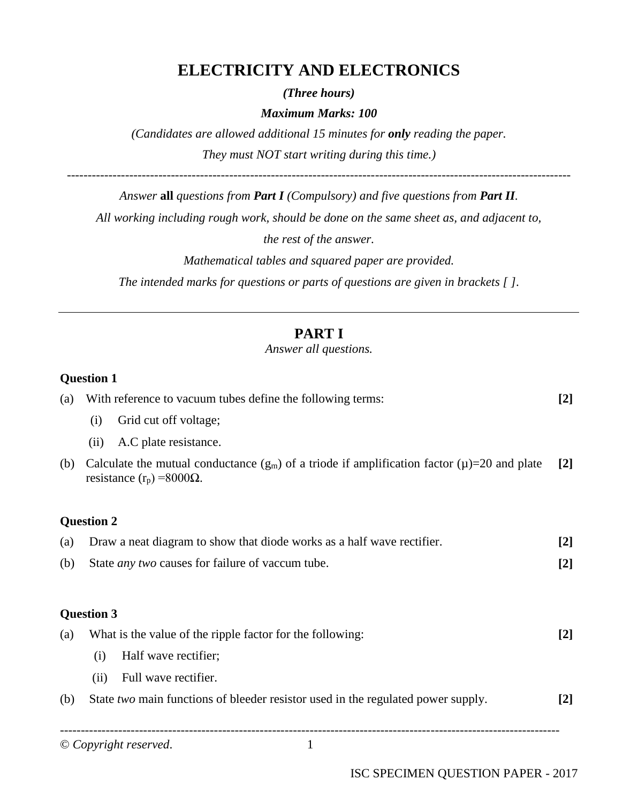# **ELECTRICITY AND ELECTRONICS**

*(Three hours)*

#### *Maximum Marks: 100*

*(Candidates are allowed additional 15 minutes for only reading the paper. They must NOT start writing during this time.)*

*Answer* **all** *questions from Part I (Compulsory) and five questions from Part II.*

-------------------------------------------------------------------------------------------------------------------------

*All working including rough work, should be done on the same sheet as, and adjacent to,* 

*the rest of the answer.*

*Mathematical tables and squared paper are provided.*

*The intended marks for questions or parts of questions are given in brackets [ ].*

# **PART I**

*Answer all questions.*

#### **Question 1**

| (a) |                                                           | With reference to vacuum tubes define the following terms:                                                                               | $[2]$ |
|-----|-----------------------------------------------------------|------------------------------------------------------------------------------------------------------------------------------------------|-------|
|     | (i)                                                       | Grid cut off voltage;                                                                                                                    |       |
|     | (ii)                                                      | A.C plate resistance.                                                                                                                    |       |
| (b) |                                                           | Calculate the mutual conductance $(g_m)$ of a triode if amplification factor $(\mu) = 20$ and plate<br>resistance $(r_p) = 8000\Omega$ . | $[2]$ |
|     | <b>Question 2</b>                                         |                                                                                                                                          |       |
| (a) |                                                           | Draw a neat diagram to show that diode works as a half wave rectifier.                                                                   | $[2]$ |
| (b) |                                                           | State <i>any two</i> causes for failure of vaccum tube.                                                                                  | $[2]$ |
|     | <b>Question 3</b>                                         |                                                                                                                                          |       |
| (a) | What is the value of the ripple factor for the following: |                                                                                                                                          | $[2]$ |
|     | (i)                                                       | Half wave rectifier;                                                                                                                     |       |
|     | (ii)                                                      | Full wave rectifier.                                                                                                                     |       |
| (b) |                                                           | State two main functions of bleeder resistor used in the regulated power supply.                                                         | $[2]$ |
|     |                                                           |                                                                                                                                          |       |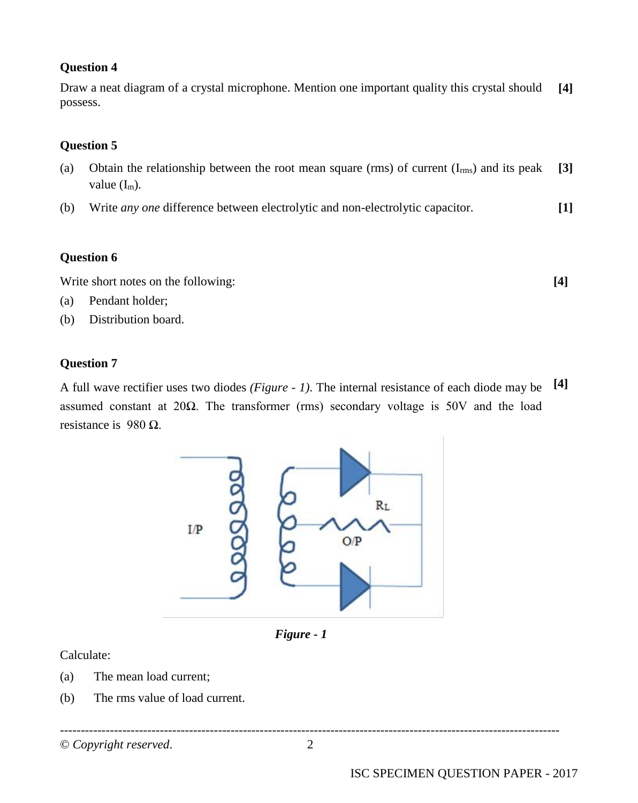Draw a neat diagram of a crystal microphone. Mention one important quality this crystal should possess. **[4]**

#### **Question 5**

- (a) Obtain the relationship between the root mean square (rms) of current  $(I_{rms})$  and its peak value  $(I_m)$ . **[3]**
- (b) Write *any one* difference between electrolytic and non-electrolytic capacitor. **[1]**

#### **Question 6**

Write short notes on the following: **[4]**

- (a) Pendant holder;
- (b) Distribution board.

#### **Question 7**

A full wave rectifier uses two diodes *(Figure - 1)*. The internal resistance of each diode may be **[4]** assumed constant at 20Ω. The transformer (rms) secondary voltage is 50V and the load resistance is 980  $\Omega$ .



*Figure - 1*

Calculate:

- (a) The mean load current;
- (b) The rms value of load current.

© *Copyright reserved*. 2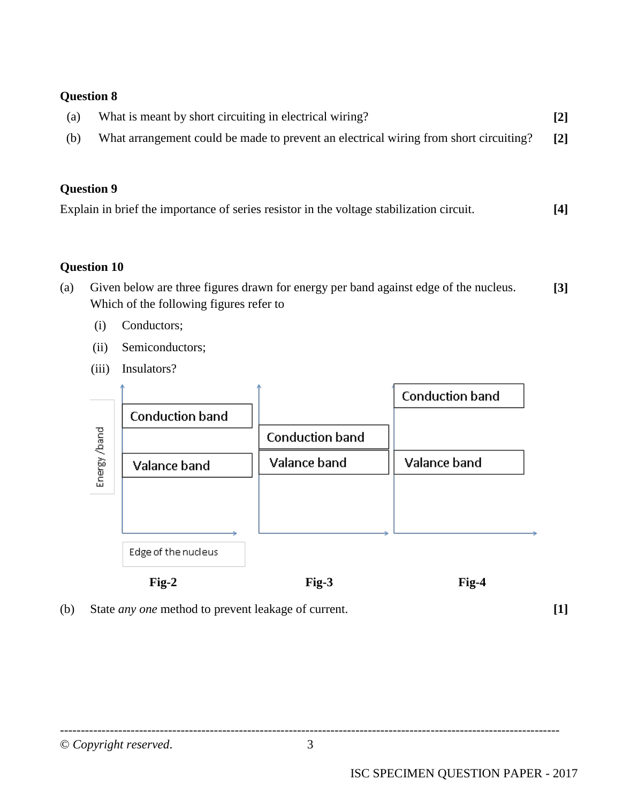| (a) | What is meant by short circuiting in electrical wiring?                               | $[2]$             |
|-----|---------------------------------------------------------------------------------------|-------------------|
| (b) | What arrangement could be made to prevent an electrical wiring from short circuiting? | $\lceil 2 \rceil$ |

## **Question 9**

|  | Explain in brief the importance of series resistor in the voltage stabilization circuit. | $[4]$ |
|--|------------------------------------------------------------------------------------------|-------|
|  |                                                                                          |       |

#### **Question 10**

- (a) Given below are three figures drawn for energy per band against edge of the nucleus. Which of the following figures refer to **[3]**
	- (i) Conductors;
	- (ii) Semiconductors;
	- (iii) Insulators?



**Fig-2 Fig-3 Fig-4** 

(b) State *any one* method to prevent leakage of current. **[1]**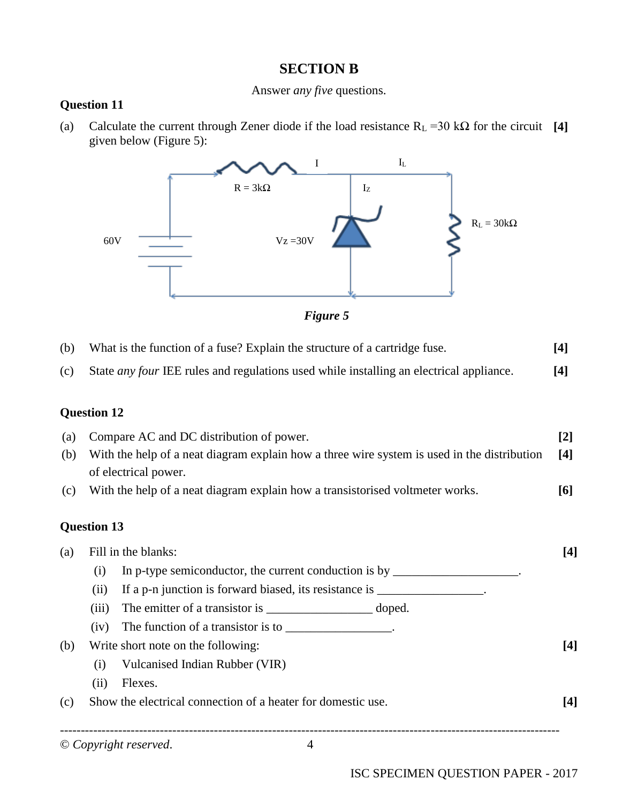## **SECTION B**

#### Answer *any five* questions.

#### **Question 11**

(a) Calculate the current through Zener diode if the load resistance  $R<sub>L</sub> = 30$  kΩ for the circuit [4] given below (Figure 5):





| (b) | What is the function of a fuse? Explain the structure of a cartridge fuse.                                          | $[4]$ |
|-----|---------------------------------------------------------------------------------------------------------------------|-------|
| (c) | State <i>any four</i> IEE rules and regulations used while installing an electrical appliance.                      | $[4]$ |
|     | <b>Question 12</b>                                                                                                  |       |
| (a) | Compare AC and DC distribution of power.                                                                            | $[2]$ |
| (b) | With the help of a neat diagram explain how a three wire system is used in the distribution<br>of electrical power. | $[4]$ |
| (c) | With the help of a neat diagram explain how a transistorised voltmeter works.                                       | [6]   |
|     | <b>Question 13</b>                                                                                                  |       |
| (a) | Fill in the blanks:                                                                                                 | [4]   |
|     | In p-type semiconductor, the current conduction is by<br>(i)                                                        |       |

- (ii) If a p-n junction is forward biased, its resistance is \_\_\_\_\_\_\_\_\_\_\_\_\_\_\_\_\_\_\_\_
- (iii) The emitter of a transistor is \_\_\_\_\_\_\_\_\_\_\_\_\_\_\_\_\_\_\_\_\_\_ doped.
- (iv) The function of a transistor is to  $\frac{1}{\sqrt{1-\frac{1}{n}}}\cdot$
- (b) Write short note on the following: **[4]** (i) Vulcanised Indian Rubber (VIR) (ii) Flexes.
- (c) Show the electrical connection of a heater for domestic use. **[4]**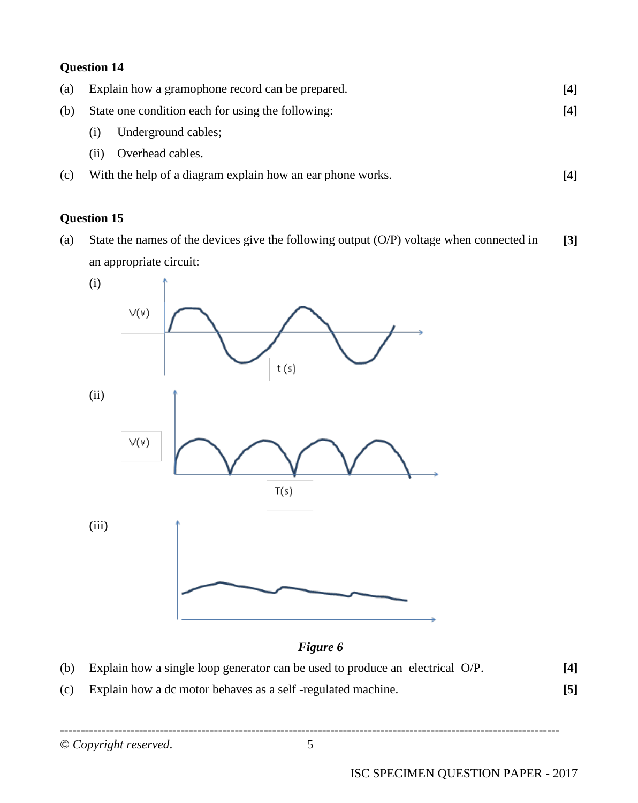| (a) |      | Explain how a gramophone record can be prepared.           | [4]  |
|-----|------|------------------------------------------------------------|------|
| (b) |      | State one condition each for using the following:          | 14 I |
|     | (1)  | Underground cables;                                        |      |
|     | (11) | Overhead cables.                                           |      |
| (c) |      | With the help of a diagram explain how an ear phone works. | [4]  |

# **Question 15**

(a) State the names of the devices give the following output (O/P) voltage when connected in an appropriate circuit: **[3]**



## *Figure 6*

- (b) Explain how a single loop generator can be used to produce an electrical O/P. **[4]**
- (c) Explain how a dc motor behaves as a self -regulated machine. **[5]**